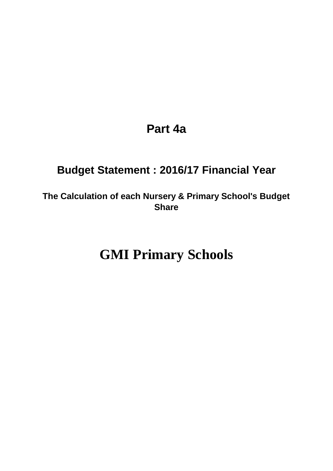# **Part 4a**

# **Budget Statement : 2016/17 Financial Year**

**The Calculation of each Nursery & Primary School's Budget Share**

# **GMI Primary Schools**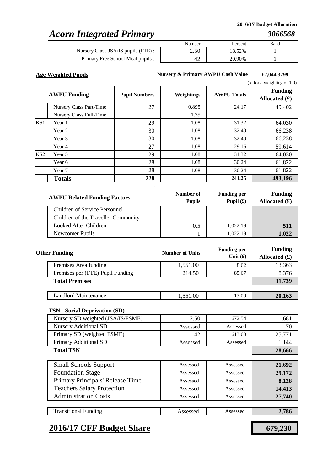### *Acorn Integrated Primary*

Primary Free School Meal pupils : Nursery Class JSA/IS pupils (FTE) :

| Number                      | Percent | Band |
|-----------------------------|---------|------|
| $\epsilon$ $\alpha$<br>2.5C | 18.52%  |      |
| י ו                         | 20.90%  |      |

**Age Weighted Pupils £2,044.3799 Nursery & Primary AWPU Cash Value :**

. . .

|                 |                         |                      |            |                    | (ie for a weighting of $1.0$ )    |
|-----------------|-------------------------|----------------------|------------|--------------------|-----------------------------------|
|                 | <b>AWPU Funding</b>     | <b>Pupil Numbers</b> | Weightings | <b>AWPU Totals</b> | <b>Funding</b><br>Allocated $(f)$ |
|                 | Nursery Class Part-Time | 27                   | 0.895      | 24.17              | 49,402                            |
|                 | Nursery Class Full-Time |                      | 1.35       |                    |                                   |
| KS1             | Year 1                  | 29                   | 1.08       | 31.32              | 64,030                            |
|                 | Year 2                  | 30                   | 1.08       | 32.40              | 66,238                            |
|                 | Year 3                  | 30                   | 1.08       | 32.40              | 66,238                            |
|                 | Year 4                  | 27                   | 1.08       | 29.16              | 59,614                            |
| KS <sub>2</sub> | Year 5                  | 29                   | 1.08       | 31.32              | 64,030                            |
|                 | Year 6                  | 28                   | 1.08       | 30.24              | 61,822                            |
|                 | Year 7                  | 28                   | 1.08       | 30.24              | 61,822                            |
|                 | <b>Totals</b>           | 228                  |            | 241.25             | 493,196                           |

| <b>AWPU Related Funding Factors</b> | Number of<br><b>Pupils</b> | <b>Funding per</b><br>Pupil $(\mathbf{f})$ | <b>Funding</b><br>Allocated $(\mathbf{\pounds})$ |
|-------------------------------------|----------------------------|--------------------------------------------|--------------------------------------------------|
| Children of Service Personnel       |                            |                                            |                                                  |
| Children of the Traveller Community |                            |                                            |                                                  |
| Looked After Children               | 0.5                        | 1.022.19                                   | 511                                              |
| Newcomer Pupils                     |                            | 1.022.19                                   | 1.022                                            |

| <b>Other Funding</b>             | <b>Number of Units</b> | <b>Funding per</b><br>Unit $(f)$ | <b>Funding</b><br>Allocated $(f)$ |
|----------------------------------|------------------------|----------------------------------|-----------------------------------|
| Premises Area funding            | 1,551.00               | 8.62                             | 13,363                            |
| Premises per (FTE) Pupil Funding | 214.50                 | 85.67                            | 18,376                            |
| <b>Total Premises</b>            |                        |                                  | 31,739                            |
|                                  |                        |                                  |                                   |
| Landlord Maintenance             | 1,551.00               | 13.00                            | 20,163                            |

#### **TSN - Social Deprivation (SD)**

| Nursery SD weighted (JSA/IS/FSME) | 2.50     | 672.54   | 1,681  |
|-----------------------------------|----------|----------|--------|
| Nursery Additional SD             | Assessed | Assessed | 70     |
| Primary SD (weighted FSME)        | 42       | 613.60   | 25,771 |
| Primary Additional SD             | Assessed | Assessed | 1,144  |
| <b>Total TSN</b>                  | 28,666   |          |        |

| <b>Small Schools Support</b>      | Assessed | Assessed | 21,692 |
|-----------------------------------|----------|----------|--------|
| <b>Foundation Stage</b>           | Assessed | Assessed | 29,172 |
| Primary Principals' Release Time  | Assessed | Assessed | 8,128  |
| <b>Teachers Salary Protection</b> | Assessed | Assessed | 14,413 |
| <b>Administration Costs</b>       | Assessed | Assessed | 27,740 |
|                                   |          |          |        |
| <b>Transitional Funding</b>       | Assessed | Assessed | 2,786  |

### **2016/17 CFF Budget Share 679,230**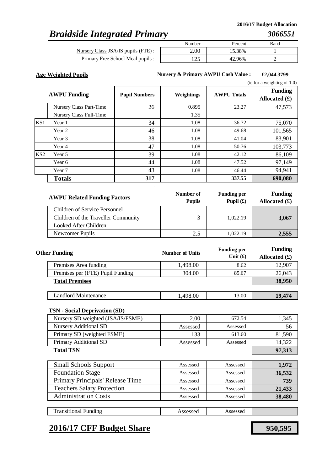# *Braidside Integrated Primary*

Nursery Class JSA/IS pupils (FTE) : Primary Free School Meal pupils

|                | Number | Percent | Band |
|----------------|--------|---------|------|
| $\bullet$<br>٠ |        | 15.38%  |      |
| $\bullet$<br>۰ | $\cap$ | 96%     |      |

**Age Weighted Pupils £2,044.3799 Nursery & Primary AWPU Cash Value :**

. . .

|     |                         |                      |            |                    | (ie for a weighting of $1.0$ )    |
|-----|-------------------------|----------------------|------------|--------------------|-----------------------------------|
|     | <b>AWPU Funding</b>     | <b>Pupil Numbers</b> | Weightings | <b>AWPU Totals</b> | <b>Funding</b><br>Allocated $(f)$ |
|     | Nursery Class Part-Time | 26                   | 0.895      | 23.27              | 47,573                            |
|     | Nursery Class Full-Time |                      | 1.35       |                    |                                   |
| KS1 | Year 1                  | 34                   | 1.08       | 36.72              | 75,070                            |
|     | Year 2                  | 46                   | 1.08       | 49.68              | 101,565                           |
|     | Year 3                  | 38                   | 1.08       | 41.04              | 83,901                            |
|     | Year 4                  | 47                   | 1.08       | 50.76              | 103,773                           |
| KS2 | Year 5                  | 39                   | 1.08       | 42.12              | 86,109                            |
|     | Year 6                  | 44                   | 1.08       | 47.52              | 97,149                            |
|     | Year 7                  | 43                   | 1.08       | 46.44              | 94,941                            |
|     | <b>Totals</b>           | 317                  |            | 337.55             | 690,080                           |

| <b>AWPU Related Funding Factors</b> | Number of<br><b>Pupils</b> | <b>Funding per</b><br>Pupil $(\mathbf{f})$ | <b>Funding</b><br>Allocated $(\mathbf{\pounds})$ |
|-------------------------------------|----------------------------|--------------------------------------------|--------------------------------------------------|
| Children of Service Personnel       |                            |                                            |                                                  |
| Children of the Traveller Community |                            | 1,022.19                                   | 3,067                                            |
| Looked After Children               |                            |                                            |                                                  |
| Newcomer Pupils                     | 2.5                        | 1.022.19                                   | 2.555                                            |

| <b>Other Funding</b>             | <b>Number of Units</b> | <b>Funding per</b><br>Unit $(f)$ | <b>Funding</b><br>Allocated $(f)$ |
|----------------------------------|------------------------|----------------------------------|-----------------------------------|
| Premises Area funding            | 1,498.00               | 8.62                             | 12,907                            |
| Premises per (FTE) Pupil Funding | 304.00                 | 85.67                            | 26,043                            |
| <b>Total Premises</b>            |                        |                                  | 38,950                            |
|                                  |                        |                                  |                                   |
| Landlord Maintenance             | 1,498.00               | 13.00                            | 19,474                            |

#### **TSN - Social Deprivation (SD)**

| Nursery SD weighted (JSA/IS/FSME) | 2.00     | 672.54   | 1.345  |
|-----------------------------------|----------|----------|--------|
| <b>Nursery Additional SD</b>      | Assessed | Assessed | 56     |
| Primary SD (weighted FSME)        | 133      | 613.60   | 81,590 |
| Primary Additional SD             | Assessed | Assessed | 14.322 |
| <b>Total TSN</b>                  |          |          | 97,313 |
|                                   |          |          |        |

| <b>Small Schools Support</b>      | Assessed | Assessed | 1,972  |
|-----------------------------------|----------|----------|--------|
| <b>Foundation Stage</b>           | Assessed | Assessed | 36,532 |
| Primary Principals' Release Time  | Assessed | Assessed | 739    |
| <b>Teachers Salary Protection</b> | Assessed | Assessed | 21,433 |
| <b>Administration Costs</b>       | Assessed | Assessed | 38,480 |
|                                   |          |          |        |

Assessed Assessed

### **2016/17 CFF Budget Share 950,595**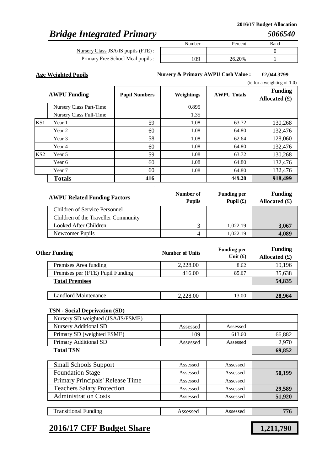# *Bridge Integrated Primary*

Primary Free School Meal pupils : Nursery Class JSA/IS pupils (FTE) :

| Number | Percent | Band |
|--------|---------|------|
|        |         |      |
| 09     | 26.20%  |      |

**Age Weighted Pupils £2,044.3799 Nursery & Primary AWPU Cash Value :**

. . .

|                 |                         |                      |            |                    | (ie for a weighting of $1.0$ )    |
|-----------------|-------------------------|----------------------|------------|--------------------|-----------------------------------|
|                 | <b>AWPU Funding</b>     | <b>Pupil Numbers</b> | Weightings | <b>AWPU Totals</b> | <b>Funding</b><br>Allocated $(f)$ |
|                 | Nursery Class Part-Time |                      | 0.895      |                    |                                   |
|                 | Nursery Class Full-Time |                      | 1.35       |                    |                                   |
| KS1             | Year 1                  | 59                   | 1.08       | 63.72              | 130,268                           |
|                 | Year 2                  | 60                   | 1.08       | 64.80              | 132,476                           |
|                 | Year 3                  | 58                   | 1.08       | 62.64              | 128,060                           |
|                 | Year 4                  | 60                   | 1.08       | 64.80              | 132,476                           |
| KS <sub>2</sub> | Year 5                  | 59                   | 1.08       | 63.72              | 130,268                           |
|                 | Year 6                  | 60                   | 1.08       | 64.80              | 132,476                           |
|                 | Year 7                  | 60                   | 1.08       | 64.80              | 132,476                           |
|                 | <b>Totals</b>           | 416                  |            | 449.28             | 918,499                           |

| <b>AWPU Related Funding Factors</b> | Number of<br><b>Pupils</b> | <b>Funding per</b><br>Pupil $(\mathbf{f})$ | <b>Funding</b><br>Allocated $(\pounds)$ |
|-------------------------------------|----------------------------|--------------------------------------------|-----------------------------------------|
| Children of Service Personnel       |                            |                                            |                                         |
| Children of the Traveller Community |                            |                                            |                                         |
| Looked After Children               |                            | 1,022.19                                   | 3,067                                   |
| Newcomer Pupils                     | 4                          | 1.022.19                                   | 4,089                                   |

| <b>Other Funding</b>             | <b>Number of Units</b> | <b>Funding per</b><br>Unit $(f)$ | <b>Funding</b><br>Allocated $(f)$ |
|----------------------------------|------------------------|----------------------------------|-----------------------------------|
| Premises Area funding            | 2,228.00               | 8.62                             | 19,196                            |
| Premises per (FTE) Pupil Funding | 416.00                 | 85.67                            | 35,638                            |
| <b>Total Premises</b>            |                        |                                  | 54,835                            |
|                                  |                        |                                  |                                   |
| Landlord Maintenance             | 2,228.00               | 13.00                            | 28,964                            |

### **TSN - Social Deprivation (SD)**

| Nursery SD weighted (JSA/IS/FSME) |          |          |        |
|-----------------------------------|----------|----------|--------|
| Nursery Additional SD             | Assessed | Assessed |        |
| Primary SD (weighted FSME)        | 109      | 613.60   | 66,882 |
| Primary Additional SD             | Assessed | Assessed | 2.970  |
| <b>Total TSN</b>                  |          |          | 69.852 |

| <b>Small Schools Support</b>      | Assessed | Assessed |        |
|-----------------------------------|----------|----------|--------|
| <b>Foundation Stage</b>           | Assessed | Assessed | 50,199 |
| Primary Principals' Release Time  | Assessed | Assessed |        |
| <b>Teachers Salary Protection</b> | Assessed | Assessed | 29,589 |
| <b>Administration Costs</b>       | Assessed | Assessed | 51,920 |
|                                   |          |          |        |
| <b>Transitional Funding</b>       | Assessed | Assessed | 776    |

### **2016/17 CFF Budget Share 1,211,790**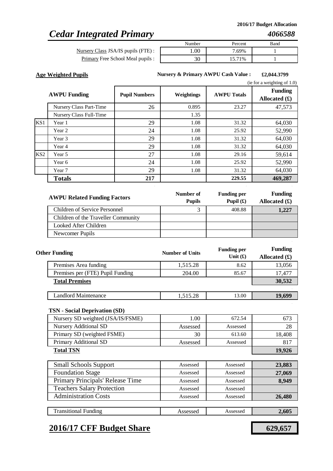# *Cedar Integrated Primary*

Nursery Class JSA/IS pupils (FTE) : Primary Free School Meal pupils :

| Number | Percent | Band |
|--------|---------|------|
|        | 7.69%   |      |
|        | 15.71%  |      |

**Age Weighted Pupils £2,044.3799 Nursery & Primary AWPU Cash Value :**

. . .

|                 |                         |                      |            |                    | (ie for a weighting of $1.0$ )    |
|-----------------|-------------------------|----------------------|------------|--------------------|-----------------------------------|
|                 | <b>AWPU Funding</b>     | <b>Pupil Numbers</b> | Weightings | <b>AWPU Totals</b> | <b>Funding</b><br>Allocated $(f)$ |
|                 | Nursery Class Part-Time | 26                   | 0.895      | 23.27              | 47,573                            |
|                 | Nursery Class Full-Time |                      | 1.35       |                    |                                   |
| KS <sub>1</sub> | Year 1                  | 29                   | 1.08       | 31.32              | 64,030                            |
|                 | Year 2                  | 24                   | 1.08       | 25.92              | 52,990                            |
|                 | Year 3                  | 29                   | 1.08       | 31.32              | 64,030                            |
|                 | Year 4                  | 29                   | 1.08       | 31.32              | 64,030                            |
| KS <sub>2</sub> | Year 5                  | 27                   | 1.08       | 29.16              | 59,614                            |
|                 | Year 6                  | 24                   | 1.08       | 25.92              | 52,990                            |
|                 | Year 7                  | 29                   | 1.08       | 31.32              | 64,030                            |
|                 | <b>Totals</b>           | 217                  |            | 229.55             | 469,287                           |

| <b>AWPU Related Funding Factors</b> | Number of<br><b>Pupils</b> | <b>Funding per</b><br>Pupil $(\mathbf{\hat{x}})$ | <b>Funding</b><br>Allocated $(\mathbf{\pounds})$ |
|-------------------------------------|----------------------------|--------------------------------------------------|--------------------------------------------------|
| Children of Service Personnel       |                            | 408.88                                           | 1,227                                            |
| Children of the Traveller Community |                            |                                                  |                                                  |
| Looked After Children               |                            |                                                  |                                                  |
| Newcomer Pupils                     |                            |                                                  |                                                  |

| <b>Other Funding</b>             | <b>Number of Units</b> | <b>Funding per</b><br>Unit $(f)$ | <b>Funding</b><br>Allocated $(f)$ |
|----------------------------------|------------------------|----------------------------------|-----------------------------------|
| Premises Area funding            | 1,515.28               | 8.62                             | 13,056                            |
| Premises per (FTE) Pupil Funding | 204.00                 | 85.67                            | 17,477                            |
| <b>Total Premises</b>            |                        |                                  | 30,532                            |
|                                  |                        |                                  |                                   |
| <b>Landlord Maintenance</b>      | 1,515.28               | 13.00                            | 19,699                            |

#### **TSN - Social Deprivation (SD)**

| Nursery SD weighted (JSA/IS/FSME) | 1.00     | 672.54   | 673    |
|-----------------------------------|----------|----------|--------|
| <b>Nursery Additional SD</b>      | Assessed | Assessed | 28     |
| Primary SD (weighted FSME)        | 30       | 613.60   | 18.408 |
| Primary Additional SD             | Assessed | Assessed | 817    |
| <b>Total TSN</b>                  |          |          | 19.926 |

| <b>Small Schools Support</b>      | Assessed | Assessed | 23,883 |
|-----------------------------------|----------|----------|--------|
| <b>Foundation Stage</b>           | Assessed | Assessed | 27,069 |
| Primary Principals' Release Time  | Assessed | Assessed | 8,949  |
| <b>Teachers Salary Protection</b> | Assessed | Assessed |        |
| <b>Administration Costs</b>       | Assessed | Assessed | 26,480 |
|                                   |          |          |        |
| <b>Transitional Funding</b>       | Assessed | Assessed | 2,605  |

### **2016/17 CFF Budget Share 629,657**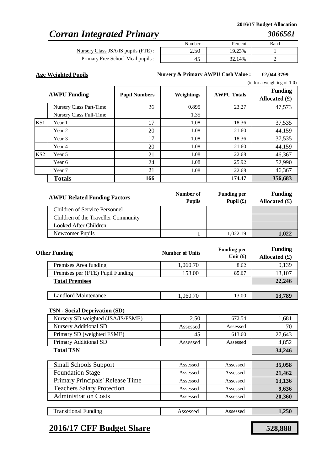### *Corran Integrated Primary*

Nursery Class JSA/IS pupils (FTE) : Primary Free School Meal pupils :

| Number | Percent | Band |
|--------|---------|------|
| 2.JU   | 19.23%  |      |
|        | 32.14%  |      |

**Age Weighted Pupils £2,044.3799 Nursery & Primary AWPU Cash Value :**

. . .

|                 |                         |                      |            |                    | (ie for a weighting of $1.0$ )          |
|-----------------|-------------------------|----------------------|------------|--------------------|-----------------------------------------|
|                 | <b>AWPU Funding</b>     | <b>Pupil Numbers</b> | Weightings | <b>AWPU Totals</b> | <b>Funding</b><br>Allocated $(\pounds)$ |
|                 | Nursery Class Part-Time | 26                   | 0.895      | 23.27              | 47,573                                  |
|                 | Nursery Class Full-Time |                      | 1.35       |                    |                                         |
| KS1             | Year 1                  | 17                   | 1.08       | 18.36              | 37,535                                  |
|                 | Year 2                  | 20                   | 1.08       | 21.60              | 44,159                                  |
|                 | Year 3                  | 17                   | 1.08       | 18.36              | 37,535                                  |
|                 | Year 4                  | 20                   | 1.08       | 21.60              | 44,159                                  |
| KS <sub>2</sub> | Year 5                  | 21                   | 1.08       | 22.68              | 46,367                                  |
|                 | Year 6                  | 24                   | 1.08       | 25.92              | 52,990                                  |
|                 | Year 7                  | 21                   | 1.08       | 22.68              | 46,367                                  |
|                 | <b>Totals</b>           | 166                  |            | 174.47             | 356,683                                 |

| <b>AWPU Related Funding Factors</b> | Number of<br><b>Pupils</b> | <b>Funding per</b><br>Pupil $(\mathbf{f})$ | <b>Funding</b><br>Allocated $(\pounds)$ |
|-------------------------------------|----------------------------|--------------------------------------------|-----------------------------------------|
| Children of Service Personnel       |                            |                                            |                                         |
| Children of the Traveller Community |                            |                                            |                                         |
| Looked After Children               |                            |                                            |                                         |
| Newcomer Pupils                     |                            | 1.022.19                                   | 1.022                                   |

| <b>Other Funding</b>             | <b>Number of Units</b> | <b>Funding per</b><br>Unit $(f)$ | <b>Funding</b><br>Allocated $(f)$ |
|----------------------------------|------------------------|----------------------------------|-----------------------------------|
| Premises Area funding            | 1,060.70               | 8.62                             | 9,139                             |
| Premises per (FTE) Pupil Funding | 153.00                 | 85.67                            | 13,107                            |
| <b>Total Premises</b>            |                        |                                  | 22,246                            |
|                                  |                        |                                  |                                   |
| <b>Landlord Maintenance</b>      | 1,060.70               | 13.00                            | 13,789                            |

#### **TSN - Social Deprivation (SD)**

| Nursery SD weighted (JSA/IS/FSME) | 2.50     | 672.54   | 1,681  |
|-----------------------------------|----------|----------|--------|
| <b>Nursery Additional SD</b>      | Assessed | Assessed | 70     |
| Primary SD (weighted FSME)        | 45       | 613.60   | 27,643 |
| Primary Additional SD             | Assessed | Assessed | 4.852  |
| <b>Total TSN</b>                  |          |          | 34,246 |

| <b>Small Schools Support</b>      | Assessed | Assessed | 35,058 |
|-----------------------------------|----------|----------|--------|
| <b>Foundation Stage</b>           | Assessed | Assessed | 21,462 |
| Primary Principals' Release Time  | Assessed | Assessed | 13,136 |
| <b>Teachers Salary Protection</b> | Assessed | Assessed | 9,636  |
| <b>Administration Costs</b>       | Assessed | Assessed | 20,360 |
|                                   |          |          |        |
| <b>Transitional Funding</b>       | Assessed | Assessed | 1.250  |

### **2016/17 CFF Budget Share 528,888**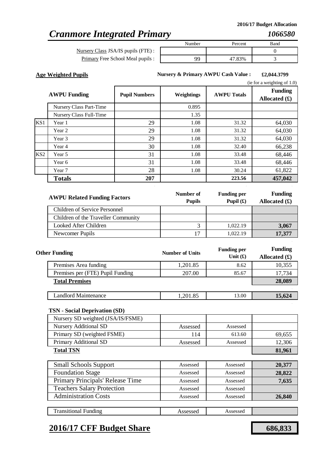# *Cranmore Integrated Primary*

*1066580*

Nursery Class JSA/IS pupils (FT Primary Free School Meal pup

|       | Number | Percent | Band |
|-------|--------|---------|------|
| E)    |        |         |      |
| ils : | QQ     | .83%    |      |
|       |        |         |      |

**Age Weighted Pupils £2,044.3799 Nursery & Primary AWPU Cash Value :**

. . .

|                 |                         |                      |            |                    | (ie for a weighting of $1.0$ )    |
|-----------------|-------------------------|----------------------|------------|--------------------|-----------------------------------|
|                 | <b>AWPU Funding</b>     | <b>Pupil Numbers</b> | Weightings | <b>AWPU Totals</b> | <b>Funding</b><br>Allocated $(f)$ |
|                 | Nursery Class Part-Time |                      | 0.895      |                    |                                   |
|                 | Nursery Class Full-Time |                      | 1.35       |                    |                                   |
| KS1             | Year 1                  | 29                   | 1.08       | 31.32              | 64,030                            |
|                 | Year 2                  | 29                   | 1.08       | 31.32              | 64,030                            |
|                 | Year 3                  | 29                   | 1.08       | 31.32              | 64,030                            |
|                 | Year 4                  | 30                   | 1.08       | 32.40              | 66,238                            |
| KS <sub>2</sub> | Year 5                  | 31                   | 1.08       | 33.48              | 68,446                            |
|                 | Year 6                  | 31                   | 1.08       | 33.48              | 68,446                            |
|                 | Year 7                  | 28                   | 1.08       | 30.24              | 61,822                            |
|                 | <b>Totals</b>           | 207                  |            | 223.56             | 457,042                           |

| <b>AWPU Related Funding Factors</b> | Number of<br><b>Pupils</b> | <b>Funding per</b><br>Pupil $(\mathbf{\hat{x}})$ | <b>Funding</b><br>Allocated $(\mathbf{\pounds})$ |
|-------------------------------------|----------------------------|--------------------------------------------------|--------------------------------------------------|
| Children of Service Personnel       |                            |                                                  |                                                  |
| Children of the Traveller Community |                            |                                                  |                                                  |
| Looked After Children               |                            | 1,022.19                                         | 3,067                                            |
| Newcomer Pupils                     |                            | 1,022.19                                         | 17,377                                           |

| <b>Other Funding</b>             | <b>Number of Units</b> | <b>Funding per</b><br>Unit $(f)$ | <b>Funding</b><br>Allocated $(f)$ |
|----------------------------------|------------------------|----------------------------------|-----------------------------------|
| Premises Area funding            | 1,201.85               | 8.62                             | 10,355                            |
| Premises per (FTE) Pupil Funding | 207.00                 | 85.67                            | 17,734                            |
| <b>Total Premises</b>            |                        |                                  | 28,089                            |
|                                  |                        |                                  |                                   |
| Landlord Maintenance             | 1,201.85               | 13.00                            | 15,624                            |

### **TSN - Social Deprivation (SD)**

| Nursery SD weighted (JSA/IS/FSME) |          |          |        |
|-----------------------------------|----------|----------|--------|
| <b>Nursery Additional SD</b>      | Assessed | Assessed |        |
| Primary SD (weighted FSME)        | 114      | 613.60   | 69,655 |
| Primary Additional SD             | Assessed | Assessed | 12,306 |
| <b>Total TSN</b>                  |          |          | 81,961 |
|                                   |          |          |        |

| <b>Small Schools Support</b>      | Assessed | Assessed | 20,377 |
|-----------------------------------|----------|----------|--------|
| <b>Foundation Stage</b>           | Assessed | Assessed | 28,822 |
| Primary Principals' Release Time  | Assessed | Assessed | 7,635  |
| <b>Teachers Salary Protection</b> | Assessed | Assessed |        |
| <b>Administration Costs</b>       | Assessed | Assessed | 26,840 |
|                                   |          |          |        |

Assessed Assessed

# **2016/17 CFF Budget Share 686,833**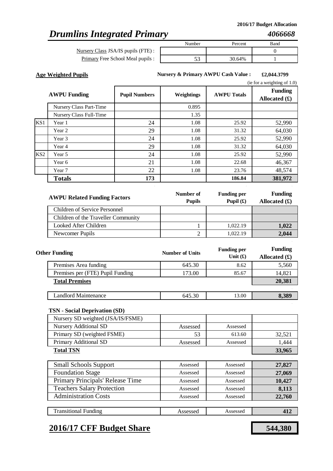# *Drumlins Integrated Primary*

Nursery Class JSA/IS pupils (FTE) : Primary Free School Meal pupils

|      | Number   | Percent | Band |
|------|----------|---------|------|
| i) : |          |         |      |
| s:   | 70<br>JJ | 30.64%  |      |
|      |          |         |      |

**Age Weighted Pupils £2,044.3799 Nursery & Primary AWPU Cash Value :**

. . .

|  | (ie for a weighting of 1.0) |  |
|--|-----------------------------|--|
|  |                             |  |

|                 | <b>AWPU Funding</b>     | <b>Pupil Numbers</b> | Weightings | <b>AWPU Totals</b> | <b>Funding</b><br>Allocated $(\pounds)$ |
|-----------------|-------------------------|----------------------|------------|--------------------|-----------------------------------------|
|                 | Nursery Class Part-Time |                      | 0.895      |                    |                                         |
|                 | Nursery Class Full-Time |                      | 1.35       |                    |                                         |
| KS1             | Year 1                  | 24                   | 1.08       | 25.92              | 52,990                                  |
|                 | Year 2                  | 29                   | 1.08       | 31.32              | 64,030                                  |
|                 | Year 3                  | 24                   | 1.08       | 25.92              | 52,990                                  |
|                 | Year 4                  | 29                   | 1.08       | 31.32              | 64,030                                  |
| KS <sub>2</sub> | Year 5                  | 24                   | 1.08       | 25.92              | 52,990                                  |
|                 | Year 6                  | 21                   | 1.08       | 22.68              | 46,367                                  |
|                 | Year 7                  | 22                   | 1.08       | 23.76              | 48,574                                  |
|                 | <b>Totals</b>           | 173                  |            | 186.84             | 381,972                                 |

| <b>AWPU Related Funding Factors</b> | Number of<br><b>Pupils</b> | <b>Funding per</b><br>Pupil $(\mathbf{f})$ | <b>Funding</b><br>Allocated $(\pounds)$ |
|-------------------------------------|----------------------------|--------------------------------------------|-----------------------------------------|
| Children of Service Personnel       |                            |                                            |                                         |
| Children of the Traveller Community |                            |                                            |                                         |
| Looked After Children               |                            | 1,022.19                                   | 1,022                                   |
| Newcomer Pupils                     |                            | 1,022.19                                   | 2,044                                   |

| <b>Other Funding</b>             | <b>Number of Units</b> | <b>Funding per</b><br>Unit $(f)$ | <b>Funding</b><br>Allocated $(f)$ |
|----------------------------------|------------------------|----------------------------------|-----------------------------------|
| Premises Area funding            | 645.30                 | 8.62                             | 5,560                             |
| Premises per (FTE) Pupil Funding | 173.00                 | 85.67                            | 14,821                            |
| <b>Total Premises</b>            |                        |                                  | 20,381                            |
|                                  |                        |                                  |                                   |
| <b>Landlord Maintenance</b>      | 645.30                 | 13.00                            | 8,389                             |

### **TSN - Social Deprivation (SD)**

| Nursery SD weighted (JSA/IS/FSME) |          |          |        |
|-----------------------------------|----------|----------|--------|
| <b>Nursery Additional SD</b>      | Assessed | Assessed |        |
| Primary SD (weighted FSME)        | 53       | 613.60   | 32,521 |
| Primary Additional SD             | Assessed | Assessed | 1.444  |
| <b>Total TSN</b>                  |          |          | 33,965 |
|                                   |          |          |        |

| <b>Small Schools Support</b>      | Assessed | Assessed | 27,827 |
|-----------------------------------|----------|----------|--------|
| <b>Foundation Stage</b>           | Assessed | Assessed | 27,069 |
| Primary Principals' Release Time  | Assessed | Assessed | 10,427 |
| <b>Teachers Salary Protection</b> | Assessed | Assessed | 8,113  |
| <b>Administration Costs</b>       | Assessed | Assessed | 22,760 |
|                                   |          |          |        |

### **2016/17 CFF Budget Share 544,380**

Transitional Funding

Assessed Assessed **412**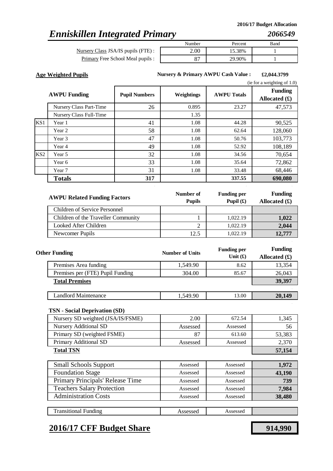# *Enniskillen Integrated Primary*

Nursery Class JSA/IS pupils (FTE) : Primary Free School Meal pupils :

| Number | Percent | Band |
|--------|---------|------|
|        | 15.38%  |      |
| רכ     | 29.90%  |      |

**Age Weighted Pupils £2,044.3799 Nursery & Primary AWPU Cash Value :**

. . .

|                 |                         |                      |            |                    | (ie for a weighting of $1.0$ )          |
|-----------------|-------------------------|----------------------|------------|--------------------|-----------------------------------------|
|                 | <b>AWPU Funding</b>     | <b>Pupil Numbers</b> | Weightings | <b>AWPU Totals</b> | <b>Funding</b><br>Allocated $(\pounds)$ |
|                 | Nursery Class Part-Time | 26                   | 0.895      | 23.27              | 47,573                                  |
|                 | Nursery Class Full-Time |                      | 1.35       |                    |                                         |
| KS1             | Year 1                  | 41                   | 1.08       | 44.28              | 90,525                                  |
|                 | Year 2                  | 58                   | 1.08       | 62.64              | 128,060                                 |
|                 | Year 3                  | 47                   | 1.08       | 50.76              | 103,773                                 |
|                 | Year 4                  | 49                   | 1.08       | 52.92              | 108,189                                 |
| KS <sub>2</sub> | Year 5                  | 32                   | 1.08       | 34.56              | 70,654                                  |
|                 | Year 6                  | 33                   | 1.08       | 35.64              | 72,862                                  |
|                 | Year 7                  | 31                   | 1.08       | 33.48              | 68,446                                  |
|                 | <b>Totals</b>           | 317                  |            | 337.55             | 690,080                                 |

| <b>AWPU Related Funding Factors</b>  | Number of<br><b>Pupils</b> | <b>Funding per</b><br>Pupil $(\mathbf{f})$ | <b>Funding</b><br>Allocated $(f)$ |
|--------------------------------------|----------------------------|--------------------------------------------|-----------------------------------|
| <b>Children of Service Personnel</b> |                            |                                            |                                   |
| Children of the Traveller Community  |                            | 1,022.19                                   | 1,022                             |
| Looked After Children                |                            | 1.022.19                                   | 2,044                             |
| Newcomer Pupils                      | 12.5                       | 1.022.19                                   | 12.777                            |

| <b>Other Funding</b>             | <b>Number of Units</b> | <b>Funding per</b><br>Unit $(f)$ | <b>Funding</b><br>Allocated $(f)$ |
|----------------------------------|------------------------|----------------------------------|-----------------------------------|
| Premises Area funding            | 1,549.90               | 8.62                             | 13,354                            |
| Premises per (FTE) Pupil Funding | 304.00                 | 85.67                            | 26,043                            |
| <b>Total Premises</b>            |                        |                                  | 39,397                            |
|                                  |                        |                                  |                                   |
| Landlord Maintenance             | 1,549.90               | 13.00                            | 20,149                            |

### **TSN - Social Deprivation (SD)**

| Nursery SD weighted (JSA/IS/FSME) | 2.00     | 672.54   | 1,345  |
|-----------------------------------|----------|----------|--------|
| <b>Nursery Additional SD</b>      | Assessed | Assessed | 56     |
| Primary SD (weighted FSME)        | 87       | 613.60   | 53,383 |
| Primary Additional SD             | Assessed | Assessed | 2.370  |
| <b>Total TSN</b>                  |          |          | 57,154 |

| <b>Small Schools Support</b>      | Assessed | Assessed | 1,972  |
|-----------------------------------|----------|----------|--------|
| <b>Foundation Stage</b>           | Assessed | Assessed | 43,190 |
| Primary Principals' Release Time  | Assessed | Assessed | 739    |
| <b>Teachers Salary Protection</b> | Assessed | Assessed | 7,984  |
| <b>Administration Costs</b>       | Assessed | Assessed | 38,480 |
|                                   |          |          |        |
| <b>Transitional Funding</b>       | Assessed | Assessed |        |

### **2016/17 CFF Budget Share 914,990**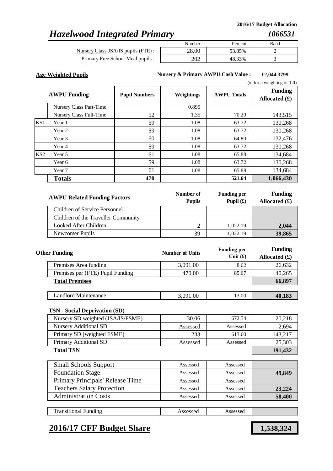# *Hazelwood Integrated Primary*

Nursery Class JSA/IS pupils (FTE) : Primary Free School Meal pupils :

| Number | Percent | Band |
|--------|---------|------|
|        | 53.85%  |      |
|        | 8.33%   |      |

**Age Weighted Pupils £2,044.3799 Nursery & Primary AWPU Cash Value :**

. . .

|                 |                         |                      |            |                    | (ie for a weighting of $1.0$ )    |
|-----------------|-------------------------|----------------------|------------|--------------------|-----------------------------------|
|                 | <b>AWPU Funding</b>     | <b>Pupil Numbers</b> | Weightings | <b>AWPU Totals</b> | <b>Funding</b><br>Allocated $(f)$ |
|                 | Nursery Class Part-Time |                      | 0.895      |                    |                                   |
|                 | Nursery Class Full-Time | 52                   | 1.35       | 70.20              | 143,515                           |
| KS1             | Year 1                  | 59                   | 1.08       | 63.72              | 130,268                           |
|                 | Year 2                  | 59                   | 1.08       | 63.72              | 130,268                           |
|                 | Year 3                  | 60                   | 1.08       | 64.80              | 132,476                           |
|                 | Year 4                  | 59                   | 1.08       | 63.72              | 130,268                           |
| KS <sub>2</sub> | Year 5                  | 61                   | 1.08       | 65.88              | 134,684                           |
|                 | Year 6                  | 59                   | 1.08       | 63.72              | 130,268                           |
|                 | Year 7                  | 61                   | 1.08       | 65.88              | 134,684                           |
|                 | <b>Totals</b>           | 470                  |            | 521.64             | 1,066,430                         |

| <b>AWPU Related Funding Factors</b> | Number of<br><b>Pupils</b> | <b>Funding per</b><br>Pupil $(\mathbf{f})$ | <b>Funding</b><br>Allocated $(\mathbf{\pounds})$ |
|-------------------------------------|----------------------------|--------------------------------------------|--------------------------------------------------|
| Children of Service Personnel       |                            |                                            |                                                  |
| Children of the Traveller Community |                            |                                            |                                                  |
| Looked After Children               |                            | 1.022.19                                   | 2,044                                            |
| Newcomer Pupils                     | 39                         | 1.022.19                                   | 39,865                                           |

| <b>Other Funding</b>             | <b>Number of Units</b> | <b>Funding per</b><br>Unit $(f)$ | <b>Funding</b><br>Allocated $(f)$ |
|----------------------------------|------------------------|----------------------------------|-----------------------------------|
| Premises Area funding            | 3,091.00               | 8.62                             | 26,632                            |
| Premises per (FTE) Pupil Funding | 470.00                 | 85.67                            | 40,265                            |
| <b>Total Premises</b>            |                        |                                  | 66,897                            |
|                                  |                        |                                  |                                   |
| Landlord Maintenance             | 3,091.00               | 13.00                            | 40,183                            |

### **TSN - Social Deprivation (SD)**

| Nursery SD weighted (JSA/IS/FSME) | 30.06    | 672.54   | 20,218  |
|-----------------------------------|----------|----------|---------|
| <b>Nursery Additional SD</b>      | Assessed | Assessed | 2.694   |
| Primary SD (weighted FSME)        | 233      | 613.60   | 143.217 |
| Primary Additional SD             | Assessed | Assessed | 25,303  |
| <b>Total TSN</b>                  |          |          | 191,432 |

| <b>Small Schools Support</b>      | Assessed | Assessed |        |
|-----------------------------------|----------|----------|--------|
| <b>Foundation Stage</b>           | Assessed | Assessed | 49,849 |
| Primary Principals' Release Time  | Assessed | Assessed |        |
| <b>Teachers Salary Protection</b> | Assessed | Assessed | 23,224 |
| <b>Administration Costs</b>       | Assessed | Assessed | 58,400 |
|                                   |          |          |        |
| <b>Transitional Funding</b>       | Assessed | Assessed |        |

### **2016/17 CFF Budget Share 1,538,324**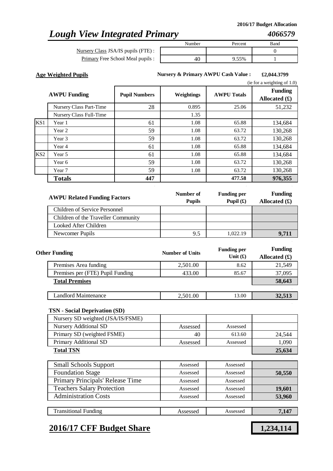# *Lough View Integrated Primary*

Nursery Class JSA/IS pupils (FTE) : Primary Free School Meal pupils

| Number | Percent | Band |
|--------|---------|------|
|        |         |      |
|        | 9.55%   |      |

**Age Weighted Pupils £2,044.3799 Nursery & Primary AWPU Cash Value :**

. . .

|                 |                         |                      |            |                    | (ie for a weighting of $1.0$ )          |
|-----------------|-------------------------|----------------------|------------|--------------------|-----------------------------------------|
|                 | <b>AWPU Funding</b>     | <b>Pupil Numbers</b> | Weightings | <b>AWPU Totals</b> | <b>Funding</b><br>Allocated $(\pounds)$ |
|                 | Nursery Class Part-Time | 28                   | 0.895      | 25.06              | 51,232                                  |
|                 | Nursery Class Full-Time |                      | 1.35       |                    |                                         |
| KS <sub>1</sub> | Year 1                  | 61                   | 1.08       | 65.88              | 134,684                                 |
|                 | Year 2                  | 59                   | 1.08       | 63.72              | 130,268                                 |
|                 | Year 3                  | 59                   | 1.08       | 63.72              | 130,268                                 |
|                 | Year 4                  | 61                   | 1.08       | 65.88              | 134,684                                 |
| KS <sub>2</sub> | Year 5                  | 61                   | 1.08       | 65.88              | 134,684                                 |
|                 | Year 6                  | 59                   | 1.08       | 63.72              | 130,268                                 |
|                 | Year 7                  | 59                   | 1.08       | 63.72              | 130,268                                 |
|                 | <b>Totals</b>           | 447                  |            | 477.58             | 976,355                                 |

| <b>AWPU Related Funding Factors</b> | Number of<br><b>Pupils</b> | <b>Funding per</b><br>Pupil $(f)$ | <b>Funding</b><br>Allocated $(\pounds)$ |
|-------------------------------------|----------------------------|-----------------------------------|-----------------------------------------|
| Children of Service Personnel       |                            |                                   |                                         |
| Children of the Traveller Community |                            |                                   |                                         |
| Looked After Children               |                            |                                   |                                         |
| Newcomer Pupils                     | 9.5                        | 1.022.19                          | 9.711                                   |

| <b>Other Funding</b>             | <b>Number of Units</b> | <b>Funding per</b><br>Unit $(f)$ | <b>Funding</b><br>Allocated $(f)$ |
|----------------------------------|------------------------|----------------------------------|-----------------------------------|
| Premises Area funding            | 2,501.00               | 8.62                             | 21,549                            |
| Premises per (FTE) Pupil Funding | 433.00                 | 85.67                            | 37,095                            |
| <b>Total Premises</b>            |                        |                                  | 58,643                            |
|                                  |                        |                                  |                                   |
| Landlord Maintenance             | 2,501.00               | 13.00                            | 32,513                            |

### **TSN - Social Deprivation (SD)**

| Nursery SD weighted (JSA/IS/FSME) |          |          |        |
|-----------------------------------|----------|----------|--------|
| Nursery Additional SD             | Assessed | Assessed |        |
| Primary SD (weighted FSME)        | 40       | 613.60   | 24.544 |
| Primary Additional SD             | Assessed | Assessed | 1.090  |
| <b>Total TSN</b>                  |          |          | 25,634 |

| <b>Small Schools Support</b>      | Assessed | Assessed |        |
|-----------------------------------|----------|----------|--------|
| <b>Foundation Stage</b>           | Assessed | Assessed | 50,550 |
| Primary Principals' Release Time  | Assessed | Assessed |        |
| <b>Teachers Salary Protection</b> | Assessed | Assessed | 19,601 |
| <b>Administration Costs</b>       | Assessed | Assessed | 53,960 |
|                                   |          |          |        |
| <b>Transitional Funding</b>       | Assessed | Assessed | 7.147  |

### **2016/17 CFF Budget Share 1,234,114**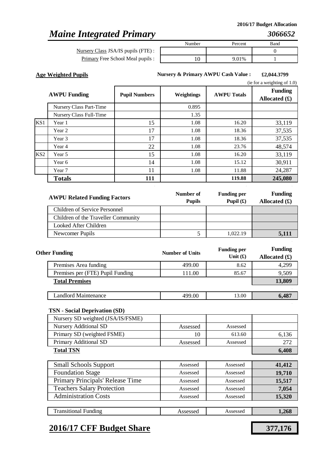### *Maine Integrated Primary*

Primary Free School Meal pupils : Nursery Class JSA/IS pupils (FTE) :

| Number | Percent | Band |
|--------|---------|------|
|        |         |      |
|        | 9.01%   |      |

**Age Weighted Pupils £2,044.3799 Nursery & Primary AWPU Cash Value :**

. . .

|                 |                         |                      |            |                    | (ie for a weighting of $1.0$ )    |
|-----------------|-------------------------|----------------------|------------|--------------------|-----------------------------------|
|                 | <b>AWPU Funding</b>     | <b>Pupil Numbers</b> | Weightings | <b>AWPU Totals</b> | <b>Funding</b><br>Allocated $(f)$ |
|                 | Nursery Class Part-Time |                      | 0.895      |                    |                                   |
|                 | Nursery Class Full-Time |                      | 1.35       |                    |                                   |
| KS1             | Year 1                  | 15                   | 1.08       | 16.20              | 33,119                            |
|                 | Year 2                  | 17                   | 1.08       | 18.36              | 37,535                            |
|                 | Year 3                  | 17                   | 1.08       | 18.36              | 37,535                            |
|                 | Year 4                  | 22                   | 1.08       | 23.76              | 48,574                            |
| KS <sub>2</sub> | Year 5                  | 15                   | 1.08       | 16.20              | 33,119                            |
|                 | Year 6                  | 14                   | 1.08       | 15.12              | 30,911                            |
|                 | Year 7                  | 11                   | 1.08       | 11.88              | 24,287                            |
|                 | <b>Totals</b>           | 111                  |            | 119.88             | 245,080                           |

| <b>AWPU Related Funding Factors</b>  | Number of<br><b>Pupils</b> | <b>Funding per</b><br>Pupil $(\mathbf{f})$ | <b>Funding</b><br>Allocated $(\pounds)$ |
|--------------------------------------|----------------------------|--------------------------------------------|-----------------------------------------|
| <b>Children of Service Personnel</b> |                            |                                            |                                         |
| Children of the Traveller Community  |                            |                                            |                                         |
| Looked After Children                |                            |                                            |                                         |
| Newcomer Pupils                      |                            | 1.022.19                                   | 5.111                                   |

| <b>Other Funding</b>             | <b>Number of Units</b> | <b>Funding per</b><br>Unit $(f)$ | <b>Funding</b><br>Allocated $(f)$ |
|----------------------------------|------------------------|----------------------------------|-----------------------------------|
| Premises Area funding            | 499.00                 | 8.62                             | 4,299                             |
| Premises per (FTE) Pupil Funding | 111.00                 | 85.67                            | 9,509                             |
| <b>Total Premises</b>            |                        |                                  | 13,809                            |
|                                  |                        |                                  |                                   |
| Landlord Maintenance             | 499.00                 | 13.00                            | 6,487                             |

#### **TSN - Social Deprivation (SD)**

Transitional Funding

| Nursery SD weighted (JSA/IS/FSME) |          |          |       |
|-----------------------------------|----------|----------|-------|
| <b>Nursery Additional SD</b>      | Assessed | Assessed |       |
| Primary SD (weighted FSME)        | 10       | 613.60   | 6,136 |
| Primary Additional SD             | Assessed | Assessed | 272   |
| <b>Total TSN</b>                  |          |          | 6,408 |
|                                   |          |          |       |

| <b>Small Schools Support</b>      | Assessed | Assessed | 41,412 |
|-----------------------------------|----------|----------|--------|
| <b>Foundation Stage</b>           | Assessed | Assessed | 19,710 |
| Primary Principals' Release Time  | Assessed | Assessed | 15,517 |
| <b>Teachers Salary Protection</b> | Assessed | Assessed | 7,054  |
| <b>Administration Costs</b>       | Assessed | Assessed | 15,320 |
|                                   |          |          |        |

# **2016/17 CFF Budget Share 377,176**

Assessed Assessed **1,268**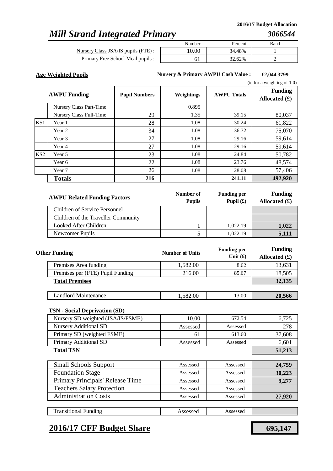# *Mill Strand Integrated Primary*

*3066544*

Nursery Class JSA/IS pupils (FTE) : Primary Free School Meal pupils :

| Number | Percent | Band |
|--------|---------|------|
| I O OO | 34.48%  |      |
|        | 32.62%  |      |

**Age Weighted Pupils £2,044.3799 Nursery & Primary AWPU Cash Value :**

. . .

|     |                         |                      |            |                    | (ie for a weighting of $1.0$ )    |
|-----|-------------------------|----------------------|------------|--------------------|-----------------------------------|
|     | <b>AWPU Funding</b>     | <b>Pupil Numbers</b> | Weightings | <b>AWPU Totals</b> | <b>Funding</b><br>Allocated $(f)$ |
|     | Nursery Class Part-Time |                      | 0.895      |                    |                                   |
|     | Nursery Class Full-Time | 29                   | 1.35       | 39.15              | 80,037                            |
| KS1 | Year 1                  | 28                   | 1.08       | 30.24              | 61,822                            |
|     | Year 2                  | 34                   | 1.08       | 36.72              | 75,070                            |
|     | Year 3                  | 27                   | 1.08       | 29.16              | 59,614                            |
|     | Year 4                  | 27                   | 1.08       | 29.16              | 59,614                            |
| KS2 | Year 5                  | 23                   | 1.08       | 24.84              | 50,782                            |
|     | Year 6                  | 22                   | 1.08       | 23.76              | 48,574                            |
|     | Year 7                  | 26                   | 1.08       | 28.08              | 57,406                            |
|     | <b>Totals</b>           | 216                  |            | 241.11             | 492,920                           |

| <b>AWPU Related Funding Factors</b> | Number of<br><b>Pupils</b> | <b>Funding per</b><br>Pupil $(\mathbf{f})$ | <b>Funding</b><br>Allocated $(\pounds)$ |
|-------------------------------------|----------------------------|--------------------------------------------|-----------------------------------------|
| Children of Service Personnel       |                            |                                            |                                         |
| Children of the Traveller Community |                            |                                            |                                         |
| Looked After Children               |                            | 1.022.19                                   | 1,022                                   |
| Newcomer Pupils                     |                            | 1.022.19                                   |                                         |

| <b>Other Funding</b>             | <b>Number of Units</b> | <b>Funding per</b><br>Unit $(f)$ | <b>Funding</b><br>Allocated $(f)$ |
|----------------------------------|------------------------|----------------------------------|-----------------------------------|
| Premises Area funding            | 1,582.00               | 8.62                             | 13,631                            |
| Premises per (FTE) Pupil Funding | 216.00                 | 85.67                            | 18,505                            |
| <b>Total Premises</b>            |                        |                                  | 32,135                            |
|                                  |                        |                                  |                                   |
| <b>Landlord Maintenance</b>      | 1,582.00               | 13.00                            | 20,566                            |

### **TSN - Social Deprivation (SD)**

| <b>Total TSN</b>                  |          |          | 51,213 |
|-----------------------------------|----------|----------|--------|
| Primary Additional SD             | Assessed | Assessed | 6,601  |
| Primary SD (weighted FSME)        | 61       | 613.60   | 37,608 |
| <b>Nursery Additional SD</b>      | Assessed | Assessed | 278    |
| Nursery SD weighted (JSA/IS/FSME) | 10.00    | 672.54   | 6,725  |

| <b>Small Schools Support</b>      | Assessed | Assessed | 24,759 |
|-----------------------------------|----------|----------|--------|
| <b>Foundation Stage</b>           | Assessed | Assessed | 30,223 |
| Primary Principals' Release Time  | Assessed | Assessed | 9,277  |
| <b>Teachers Salary Protection</b> | Assessed | Assessed |        |
| <b>Administration Costs</b>       | Assessed | Assessed | 27,920 |
|                                   |          |          |        |

Assessed Assessed

# **2016/17 CFF Budget Share 695,147**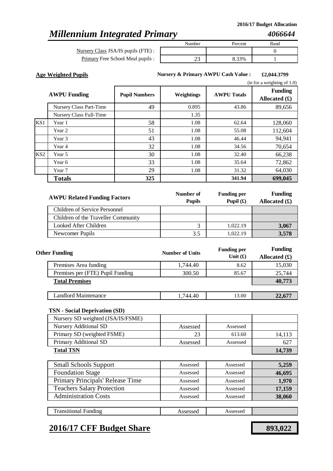# *Millennium Integrated Primary*

Nursery Class JSA/IS pupils (FTE) : Primary Free School Meal pupils

|                | Number | Percent | Band |
|----------------|--------|---------|------|
| : ١            |        |         |      |
| $\mathbf{S}$ : | ر ے    | 8.33%   |      |

**Age Weighted Pupils £2,044.3799 Nursery & Primary AWPU Cash Value :**

. . .

|                 |                         |                      |                   |                    | (ie for a weighting of 1.0)       |
|-----------------|-------------------------|----------------------|-------------------|--------------------|-----------------------------------|
|                 | <b>AWPU Funding</b>     | <b>Pupil Numbers</b> | <b>Weightings</b> | <b>AWPU Totals</b> | <b>Funding</b><br>Allocated $(f)$ |
|                 | Nursery Class Part-Time | 49                   | 0.895             | 43.86              | 89,656                            |
|                 | Nursery Class Full-Time |                      | 1.35              |                    |                                   |
| KS1             | Year 1                  | 58                   | 1.08              | 62.64              | 128,060                           |
|                 | Year 2                  | 51                   | 1.08              | 55.08              | 112,604                           |
|                 | Year 3                  | 43                   | 1.08              | 46.44              | 94,941                            |
|                 | Year 4                  | 32                   | 1.08              | 34.56              | 70,654                            |
| KS <sub>2</sub> | Year 5                  | 30                   | 1.08              | 32.40              | 66,238                            |
|                 | Year 6                  | 33                   | 1.08              | 35.64              | 72,862                            |
|                 | Year 7                  | 29                   | 1.08              | 31.32              | 64,030                            |
|                 | <b>Totals</b>           | 325                  |                   | 341.94             | 699,045                           |

| <b>AWPU Related Funding Factors</b> | Number of<br><b>Pupils</b> | <b>Funding per</b><br>Pupil $(f)$ | <b>Funding</b><br>Allocated $(\mathbf{\pounds})$ |
|-------------------------------------|----------------------------|-----------------------------------|--------------------------------------------------|
| Children of Service Personnel       |                            |                                   |                                                  |
| Children of the Traveller Community |                            |                                   |                                                  |
| Looked After Children               |                            | 1.022.19                          | 3,067                                            |
| Newcomer Pupils                     | 3.5                        | 1.022.19                          | 3.578                                            |

| <b>Other Funding</b>             | <b>Number of Units</b> | <b>Funding per</b><br>Unit $(f)$ | <b>Funding</b><br>Allocated $(f)$ |
|----------------------------------|------------------------|----------------------------------|-----------------------------------|
| Premises Area funding            | 1.744.40               | 8.62                             | 15,030                            |
| Premises per (FTE) Pupil Funding | 300.50                 | 85.67                            | 25,744                            |
| <b>Total Premises</b>            |                        |                                  | 40,773                            |
|                                  |                        |                                  |                                   |
| <b>Landlord Maintenance</b>      | 1.744.40               | 13.00                            | 22,677                            |

### **TSN - Social Deprivation (SD)**

| Nursery SD weighted (JSA/IS/FSME) |          |          |        |
|-----------------------------------|----------|----------|--------|
| <b>Nursery Additional SD</b>      | Assessed | Assessed |        |
| Primary SD (weighted FSME)        | 23       | 613.60   | 14,113 |
| Primary Additional SD             | Assessed | Assessed | 627    |
| <b>Total TSN</b>                  |          |          | 14,739 |
|                                   |          |          |        |
| <b>Small Schools Support</b>      | Assessed | Assessed | 5,259  |
| <b>Foundation Stage</b>           | Assessed | Assessed | 46,695 |
| Primary Principals' Release Time  | Assessed | Assessed | 1,970  |
| <b>Teachers Salary Protection</b> | Assessed | Assessed | 17,159 |
| <b>Administration Costs</b>       | Assessed | Assessed | 38,060 |
|                                   |          |          |        |

Assessed Assessed

### **2016/17 CFF Budget Share 893,022**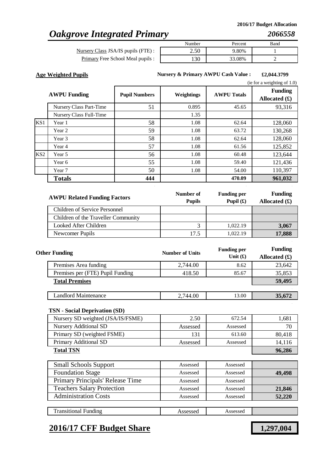# *Oakgrove Integrated Primary*

Nursery Class JSA/IS pupils (FTE) : Primary Free School Meal pupils

| Number | Percent | Band |
|--------|---------|------|
| 2.56   | 9.80%   |      |
| .30    | 33.08%  |      |

**Age Weighted Pupils £2,044.3799 Nursery & Primary AWPU Cash Value :**

. . .

|                 |                         |                      |                   |                    | (ie for a weighting of $1.0$ )    |
|-----------------|-------------------------|----------------------|-------------------|--------------------|-----------------------------------|
|                 | <b>AWPU Funding</b>     | <b>Pupil Numbers</b> | <b>Weightings</b> | <b>AWPU Totals</b> | <b>Funding</b><br>Allocated $(f)$ |
|                 | Nursery Class Part-Time | 51                   | 0.895             | 45.65              | 93,316                            |
|                 | Nursery Class Full-Time |                      | 1.35              |                    |                                   |
| KS1             | Year 1                  | 58                   | 1.08              | 62.64              | 128,060                           |
|                 | Year 2                  | 59                   | 1.08              | 63.72              | 130,268                           |
|                 | Year 3                  | 58                   | 1.08              | 62.64              | 128,060                           |
|                 | Year 4                  | 57                   | 1.08              | 61.56              | 125,852                           |
| KS <sub>2</sub> | Year 5                  | 56                   | 1.08              | 60.48              | 123,644                           |
|                 | Year 6                  | 55                   | 1.08              | 59.40              | 121,436                           |
|                 | Year 7                  | 50                   | 1.08              | 54.00              | 110,397                           |
|                 | <b>Totals</b>           | 444                  |                   | 470.09             | 961,032                           |

| <b>AWPU Related Funding Factors</b> | Number of<br><b>Pupils</b> | <b>Funding per</b><br>Pupil $(\mathbf{f})$ | <b>Funding</b><br>Allocated $(\mathbf{\pounds})$ |
|-------------------------------------|----------------------------|--------------------------------------------|--------------------------------------------------|
| Children of Service Personnel       |                            |                                            |                                                  |
| Children of the Traveller Community |                            |                                            |                                                  |
| Looked After Children               |                            | 1.022.19                                   | 3,067                                            |
| Newcomer Pupils                     | 17.5                       | 1.022.19                                   | 17,888                                           |

| <b>Other Funding</b>             | <b>Number of Units</b> | <b>Funding per</b><br>Unit $(f)$ | <b>Funding</b><br>Allocated $(f)$ |
|----------------------------------|------------------------|----------------------------------|-----------------------------------|
| Premises Area funding            | 2,744.00               | 8.62                             | 23,642                            |
| Premises per (FTE) Pupil Funding | 418.50                 | 85.67                            | 35,853                            |
| <b>Total Premises</b>            |                        |                                  | 59,495                            |
|                                  |                        |                                  |                                   |
| Landlord Maintenance             | 2,744.00               | 13.00                            | 35,672                            |

### **TSN - Social Deprivation (SD)**

| Nursery SD weighted (JSA/IS/FSME) | 2.50     | 672.54   | 1,681  |
|-----------------------------------|----------|----------|--------|
| Nursery Additional SD             | Assessed | Assessed |        |
| Primary SD (weighted FSME)        | 131      | 613.60   | 80.418 |
| Primary Additional SD             | Assessed | Assessed | 14,116 |
| <b>Total TSN</b>                  |          |          | 96.286 |

| <b>Small Schools Support</b>      | Assessed | Assessed |        |
|-----------------------------------|----------|----------|--------|
| <b>Foundation Stage</b>           | Assessed | Assessed | 49,498 |
| Primary Principals' Release Time  | Assessed | Assessed |        |
| <b>Teachers Salary Protection</b> | Assessed | Assessed | 21,846 |
| <b>Administration Costs</b>       | Assessed | Assessed | 52,220 |
|                                   |          |          |        |
| <b>Transitional Funding</b>       | Assessed | Assessed |        |

### **2016/17 CFF Budget Share 1,297,004**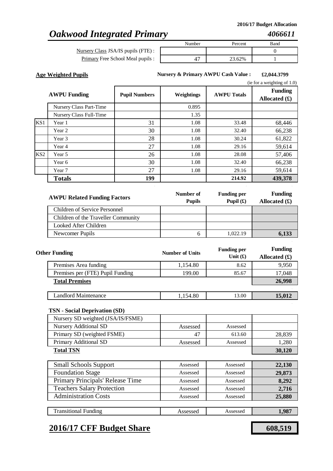# *Oakwood Integrated Primary*

Nursery Class JSA/IS pupils (FTE) : Primary Free School Meal pupils

|    | Number | Percent | Band |
|----|--------|---------|------|
|    |        |         |      |
| s: |        | 23.62%  |      |
|    |        |         |      |

**Age Weighted Pupils £2,044.3799 Nursery & Primary AWPU Cash Value :**

. . .

|--|

|                 | <b>AWPU Funding</b>     | <b>Pupil Numbers</b> | Weightings | <b>AWPU Totals</b> | <b>Funding</b><br>Allocated $(\pounds)$ |
|-----------------|-------------------------|----------------------|------------|--------------------|-----------------------------------------|
|                 | Nursery Class Part-Time |                      | 0.895      |                    |                                         |
|                 | Nursery Class Full-Time |                      | 1.35       |                    |                                         |
| KS1             | Year 1                  | 31                   | 1.08       | 33.48              | 68,446                                  |
|                 | Year 2                  | 30                   | 1.08       | 32.40              | 66,238                                  |
|                 | Year 3                  | 28                   | 1.08       | 30.24              | 61,822                                  |
|                 | Year 4                  | 27                   | 1.08       | 29.16              | 59,614                                  |
| KS <sub>2</sub> | Year 5                  | 26                   | 1.08       | 28.08              | 57,406                                  |
|                 | Year 6                  | 30                   | 1.08       | 32.40              | 66,238                                  |
|                 | Year 7                  | 27                   | 1.08       | 29.16              | 59,614                                  |
|                 | <b>Totals</b>           | 199                  |            | 214.92             | 439,378                                 |

| <b>AWPU Related Funding Factors</b>  | Number of<br><b>Pupils</b> | <b>Funding per</b><br>Pupil $(f)$ | <b>Funding</b><br>Allocated $(\pounds)$ |
|--------------------------------------|----------------------------|-----------------------------------|-----------------------------------------|
| <b>Children of Service Personnel</b> |                            |                                   |                                         |
| Children of the Traveller Community  |                            |                                   |                                         |
| Looked After Children                |                            |                                   |                                         |
| Newcomer Pupils                      | h                          | 1.022.19                          | 6.133                                   |

| <b>Other Funding</b>             | <b>Number of Units</b> | <b>Funding per</b><br>Unit $(f)$ | <b>Funding</b><br>Allocated $(f)$ |
|----------------------------------|------------------------|----------------------------------|-----------------------------------|
| Premises Area funding            | 1,154.80               | 8.62                             | 9,950                             |
| Premises per (FTE) Pupil Funding | 199.00                 | 85.67                            | 17,048                            |
| <b>Total Premises</b>            |                        |                                  | 26,998                            |
|                                  |                        |                                  |                                   |
| <b>Landlord Maintenance</b>      | 1,154.80               | 13.00                            | 15,012                            |

#### **TSN - Social Deprivation (SD)**

| Nursery SD weighted (JSA/IS/FSME) |          |          |        |
|-----------------------------------|----------|----------|--------|
| <b>Nursery Additional SD</b>      | Assessed | Assessed |        |
| Primary SD (weighted FSME)        | 47       | 613.60   | 28,839 |
| Primary Additional SD             | Assessed | Assessed | 1.280  |
| <b>Total TSN</b>                  |          |          | 30,120 |
|                                   |          |          |        |

| <b>Small Schools Support</b>      | Assessed | Assessed | 22,130 |
|-----------------------------------|----------|----------|--------|
| <b>Foundation Stage</b>           | Assessed | Assessed | 29,873 |
| Primary Principals' Release Time  | Assessed | Assessed | 8,292  |
| <b>Teachers Salary Protection</b> | Assessed | Assessed | 2.716  |
| <b>Administration Costs</b>       | Assessed | Assessed | 25,880 |
|                                   |          |          |        |

#### Assessed Assessed **1,987** Transitional Funding

### **2016/17 CFF Budget Share 608,519**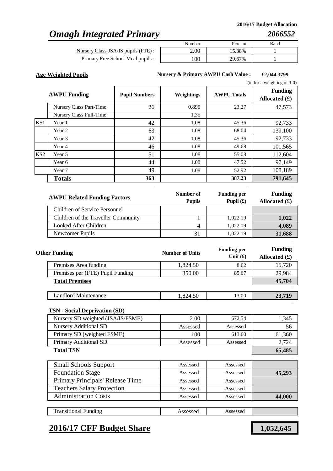# *Omagh Integrated Primary*

Nursery Class JSA/IS pupils (FTE) : Primary Free School Meal pupils :

| Number | Percent | Band |
|--------|---------|------|
|        | 15.38%  |      |
| 00     | 29.67%  |      |

**Age Weighted Pupils £2,044.3799 Nursery & Primary AWPU Cash Value :**

. . .

|                 |                         |                      |            |                    | (ie for a weighting of $1.0$ )    |
|-----------------|-------------------------|----------------------|------------|--------------------|-----------------------------------|
|                 | <b>AWPU Funding</b>     | <b>Pupil Numbers</b> | Weightings | <b>AWPU Totals</b> | <b>Funding</b><br>Allocated $(f)$ |
|                 | Nursery Class Part-Time | 26                   | 0.895      | 23.27              | 47,573                            |
|                 | Nursery Class Full-Time |                      | 1.35       |                    |                                   |
| KS1             | Year 1                  | 42                   | 1.08       | 45.36              | 92,733                            |
|                 | Year 2                  | 63                   | 1.08       | 68.04              | 139,100                           |
|                 | Year 3                  | 42                   | 1.08       | 45.36              | 92,733                            |
|                 | Year 4                  | 46                   | 1.08       | 49.68              | 101,565                           |
| KS <sub>2</sub> | Year 5                  | 51                   | 1.08       | 55.08              | 112,604                           |
|                 | Year 6                  | 44                   | 1.08       | 47.52              | 97,149                            |
|                 | Year 7                  | 49                   | 1.08       | 52.92              | 108,189                           |
|                 | <b>Totals</b>           | 363                  |            | 387.23             | 791,645                           |

| <b>AWPU Related Funding Factors</b> | Number of<br><b>Pupils</b> | <b>Funding per</b><br>Pupil $(\mathbf{\hat{E}})$ | <b>Funding</b><br>Allocated $(\pounds)$ |
|-------------------------------------|----------------------------|--------------------------------------------------|-----------------------------------------|
| Children of Service Personnel       |                            |                                                  |                                         |
| Children of the Traveller Community |                            | 1,022.19                                         | 1,022                                   |
| Looked After Children               |                            | 1,022.19                                         | 4,089                                   |
| Newcomer Pupils                     | 31                         | 1.022.19                                         | 31,688                                  |

| <b>Other Funding</b>             | <b>Number of Units</b> | <b>Funding per</b><br>Unit $(f)$ | <b>Funding</b><br>Allocated $(f)$ |
|----------------------------------|------------------------|----------------------------------|-----------------------------------|
| Premises Area funding            | 1,824.50               | 8.62                             | 15,720                            |
| Premises per (FTE) Pupil Funding | 350.00                 | 85.67                            | 29,984                            |
| <b>Total Premises</b>            |                        |                                  | 45,704                            |
|                                  |                        |                                  |                                   |
| Landlord Maintenance             | 1.824.50               | 13.00                            | 23,719                            |

### **TSN - Social Deprivation (SD)**

| Nursery SD weighted (JSA/IS/FSME) | 2.00     | 672.54   | 1,345  |
|-----------------------------------|----------|----------|--------|
| <b>Nursery Additional SD</b>      | Assessed | Assessed | 56     |
| Primary SD (weighted FSME)        | 100      | 613.60   | 61,360 |
| Primary Additional SD             | Assessed | Assessed | 2.724  |
| <b>Total TSN</b>                  | 65,485   |          |        |

| <b>Small Schools Support</b>      | Assessed | Assessed |        |
|-----------------------------------|----------|----------|--------|
| <b>Foundation Stage</b>           | Assessed | Assessed | 45,293 |
| Primary Principals' Release Time  | Assessed | Assessed |        |
| <b>Teachers Salary Protection</b> | Assessed | Assessed |        |
| <b>Administration Costs</b>       | Assessed | Assessed | 44,000 |
|                                   |          |          |        |
| <b>Transitional Funding</b>       | Assessed | Assessed |        |

### **2016/17 CFF Budget Share 1,052,645**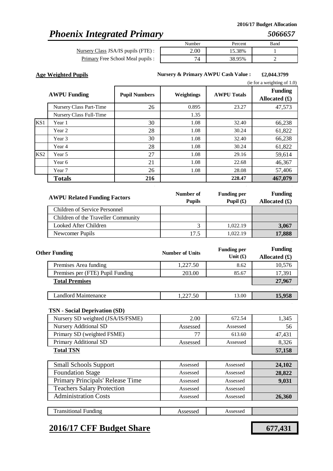# *Phoenix Integrated Primary*

Nursery Class JSA/IS pupils (FTE) : Primary Free School Meal pupils :

| Number | Percent | Band |
|--------|---------|------|
|        | 15.38%  |      |
|        | 38.95%  |      |

**Age Weighted Pupils £2,044.3799 Nursery & Primary AWPU Cash Value :**

. . .

|                 |                         |                      |            |                    | (ie for a weighting of $1.0$ )    |
|-----------------|-------------------------|----------------------|------------|--------------------|-----------------------------------|
|                 | <b>AWPU Funding</b>     | <b>Pupil Numbers</b> | Weightings | <b>AWPU Totals</b> | <b>Funding</b><br>Allocated $(f)$ |
|                 | Nursery Class Part-Time | 26                   | 0.895      | 23.27              | 47,573                            |
|                 | Nursery Class Full-Time |                      | 1.35       |                    |                                   |
| KS1             | Year 1                  | 30                   | 1.08       | 32.40              | 66,238                            |
|                 | Year 2                  | 28                   | 1.08       | 30.24              | 61,822                            |
|                 | Year 3                  | 30                   | 1.08       | 32.40              | 66,238                            |
|                 | Year 4                  | 28                   | 1.08       | 30.24              | 61,822                            |
| KS <sub>2</sub> | Year 5                  | 27                   | 1.08       | 29.16              | 59,614                            |
|                 | Year 6                  | 21                   | 1.08       | 22.68              | 46,367                            |
|                 | Year 7                  | 26                   | 1.08       | 28.08              | 57,406                            |
|                 | <b>Totals</b>           | 216                  |            | 228.47             | 467,079                           |

| <b>AWPU Related Funding Factors</b>  | Number of<br><b>Pupils</b> | <b>Funding per</b><br>Pupil $(\mathbf{\hat{E}})$ | <b>Funding</b><br>Allocated $(f)$ |
|--------------------------------------|----------------------------|--------------------------------------------------|-----------------------------------|
| <b>Children of Service Personnel</b> |                            |                                                  |                                   |
| Children of the Traveller Community  |                            |                                                  |                                   |
| Looked After Children                |                            | 1.022.19                                         | 3,067                             |
| Newcomer Pupils                      | 17.5                       | 1.022.19                                         | 17,888                            |

| <b>Other Funding</b>             | <b>Number of Units</b> | <b>Funding per</b><br>Unit $(f)$ | <b>Funding</b><br>Allocated $(f)$ |
|----------------------------------|------------------------|----------------------------------|-----------------------------------|
| Premises Area funding            | 1,227.50               | 8.62                             | 10,576                            |
| Premises per (FTE) Pupil Funding | 203.00                 | 85.67                            | 17,391                            |
| <b>Total Premises</b>            |                        |                                  | 27,967                            |
|                                  |                        |                                  |                                   |
| Landlord Maintenance             | 1,227.50               | 13.00                            | 15,958                            |

#### **TSN - Social Deprivation (SD)**

| Nursery SD weighted (JSA/IS/FSME) | 2.00     | 672.54   | 1,345  |
|-----------------------------------|----------|----------|--------|
| <b>Nursery Additional SD</b>      | Assessed | Assessed | 56     |
| Primary SD (weighted FSME)        |          | 613.60   | 47.431 |
| Primary Additional SD             | Assessed | Assessed | 8.326  |
| <b>Total TSN</b>                  |          |          | 57,158 |

| <b>Small Schools Support</b>      | Assessed | Assessed | 24,102 |
|-----------------------------------|----------|----------|--------|
| <b>Foundation Stage</b>           | Assessed | Assessed | 28,822 |
| Primary Principals' Release Time  | Assessed | Assessed | 9,031  |
| <b>Teachers Salary Protection</b> | Assessed | Assessed |        |
| <b>Administration Costs</b>       | Assessed | Assessed | 26,360 |
|                                   |          |          |        |

Assessed Assessed

### **2016/17 CFF Budget Share 677,431**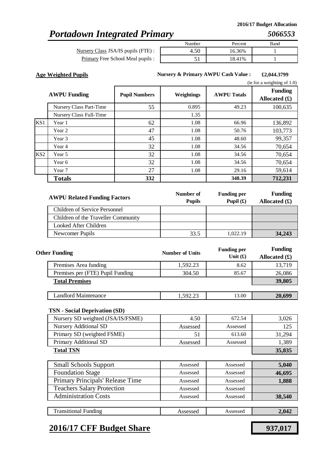# *Portadown Integrated Primary*

Nursery Class JSA/IS pupils (FTE) : Primary Free School Meal pupils :

| Number | Percent | Band |
|--------|---------|------|
|        | 16.36%  |      |
|        | 18.41%  |      |

**Age Weighted Pupils £2,044.3799 Nursery & Primary AWPU Cash Value :**

. . .

|                 |                                |                      |            |                    | (ie for a weighting of $1.0$ )          |
|-----------------|--------------------------------|----------------------|------------|--------------------|-----------------------------------------|
|                 | <b>AWPU Funding</b>            | <b>Pupil Numbers</b> | Weightings | <b>AWPU Totals</b> | <b>Funding</b><br>Allocated $(\pounds)$ |
|                 | Nursery Class Part-Time        | 55                   | 0.895      | 49.23              | 100,635                                 |
|                 | <b>Nursery Class Full-Time</b> |                      | 1.35       |                    |                                         |
| KS1             | Year 1                         | 62                   | 1.08       | 66.96              | 136,892                                 |
|                 | Year 2                         | 47                   | 1.08       | 50.76              | 103,773                                 |
|                 | Year 3                         | 45                   | 1.08       | 48.60              | 99,357                                  |
|                 | Year 4                         | 32                   | 1.08       | 34.56              | 70,654                                  |
| KS <sub>2</sub> | Year 5                         | 32                   | 1.08       | 34.56              | 70,654                                  |
|                 | Year 6                         | 32                   | 1.08       | 34.56              | 70,654                                  |
|                 | Year 7                         | 27                   | 1.08       | 29.16              | 59,614                                  |
|                 | <b>Totals</b>                  | 332                  |            | 348.39             | 712,231                                 |

| <b>AWPU Related Funding Factors</b>  | Number of<br><b>Pupils</b> | <b>Funding per</b><br>Pupil $(f)$ | <b>Funding</b><br>Allocated $(\pounds)$ |
|--------------------------------------|----------------------------|-----------------------------------|-----------------------------------------|
| <b>Children of Service Personnel</b> |                            |                                   |                                         |
| Children of the Traveller Community  |                            |                                   |                                         |
| Looked After Children                |                            |                                   |                                         |
| Newcomer Pupils                      | 33.5                       | 1.022.19                          | 34,243                                  |

| <b>Other Funding</b>             | <b>Number of Units</b> | <b>Funding per</b><br>Unit $(f)$ | <b>Funding</b><br>Allocated $(f)$ |
|----------------------------------|------------------------|----------------------------------|-----------------------------------|
| Premises Area funding            | 1,592.23               | 8.62                             | 13,719                            |
| Premises per (FTE) Pupil Funding | 304.50                 | 85.67                            | 26,086                            |
| <b>Total Premises</b>            |                        |                                  | 39,805                            |
|                                  |                        |                                  |                                   |
| <b>Landlord Maintenance</b>      | 1.592.23               | 13.00                            | 20,699                            |

### **TSN - Social Deprivation (SD)**

| Nursery SD weighted (JSA/IS/FSME) | 4.50     | 672.54   | 3,026  |
|-----------------------------------|----------|----------|--------|
| <b>Nursery Additional SD</b>      | Assessed | Assessed | 125    |
| Primary SD (weighted FSME)        |          | 613.60   | 31,294 |
| Primary Additional SD             | Assessed | Assessed | 1,389  |
| <b>Total TSN</b>                  | 35,835   |          |        |

| <b>Small Schools Support</b>      | Assessed | Assessed | 5,040  |
|-----------------------------------|----------|----------|--------|
| <b>Foundation Stage</b>           | Assessed | Assessed | 46,695 |
| Primary Principals' Release Time  | Assessed | Assessed | 1,888  |
| <b>Teachers Salary Protection</b> | Assessed | Assessed |        |
| <b>Administration Costs</b>       | Assessed | Assessed | 38,540 |
|                                   |          |          |        |
| <b>Transitional Funding</b>       | Assessed | Assessed | 2,042  |

### **2016/17 CFF Budget Share 937,017**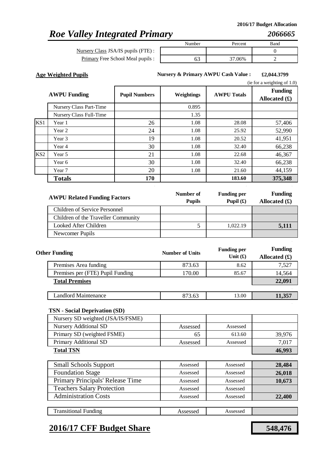# *Roe Valley Integrated Primary*

Nursery Class JSA/IS pupils (FTE) : Primary Free School Meal pupils :

| Number |  | Percent | Band |  |
|--------|--|---------|------|--|
|        |  |         |      |  |
|        |  | 37.06%  |      |  |

**Age Weighted Pupils £2,044.3799 Nursery & Primary AWPU Cash Value :**

. . .

|                 |                         |                      |            |                    | (ie for a weighting of $1.0$ )    |
|-----------------|-------------------------|----------------------|------------|--------------------|-----------------------------------|
|                 | <b>AWPU Funding</b>     | <b>Pupil Numbers</b> | Weightings | <b>AWPU Totals</b> | <b>Funding</b><br>Allocated $(f)$ |
|                 | Nursery Class Part-Time |                      | 0.895      |                    |                                   |
|                 | Nursery Class Full-Time |                      | 1.35       |                    |                                   |
| KS1             | Year 1                  | 26                   | 1.08       | 28.08              | 57,406                            |
|                 | Year 2                  | 24                   | 1.08       | 25.92              | 52,990                            |
|                 | Year 3                  | 19                   | 1.08       | 20.52              | 41,951                            |
|                 | Year 4                  | 30                   | 1.08       | 32.40              | 66,238                            |
| KS <sub>2</sub> | Year 5                  | 21                   | 1.08       | 22.68              | 46,367                            |
|                 | Year 6                  | 30                   | 1.08       | 32.40              | 66,238                            |
|                 | Year 7                  | 20                   | 1.08       | 21.60              | 44,159                            |
|                 | <b>Totals</b>           | 170                  |            | 183.60             | 375,348                           |

| <b>AWPU Related Funding Factors</b> | Number of<br><b>Pupils</b> | <b>Funding per</b><br>Pupil $(f)$ | <b>Funding</b><br>Allocated $(\mathbf{\hat{x}})$ |
|-------------------------------------|----------------------------|-----------------------------------|--------------------------------------------------|
| Children of Service Personnel       |                            |                                   |                                                  |
| Children of the Traveller Community |                            |                                   |                                                  |
| Looked After Children               |                            | 1.022.19                          | 5,111                                            |
| Newcomer Pupils                     |                            |                                   |                                                  |

| <b>Other Funding</b>             | <b>Number of Units</b> | <b>Funding per</b><br>Unit $(f)$ | <b>Funding</b><br>Allocated $(f)$ |
|----------------------------------|------------------------|----------------------------------|-----------------------------------|
| Premises Area funding            | 873.63                 | 8.62                             | 7,527                             |
| Premises per (FTE) Pupil Funding | 170.00                 | 85.67                            | 14,564                            |
| <b>Total Premises</b>            |                        |                                  | 22,091                            |
|                                  |                        |                                  |                                   |
| Landlord Maintenance             | 873.63                 | 13.00                            | 11,357                            |

### **TSN - Social Deprivation (SD)**

| $\frac{1}{2}$                     |          |          |        |
|-----------------------------------|----------|----------|--------|
| Nursery SD weighted (JSA/IS/FSME) |          |          |        |
| <b>Nursery Additional SD</b>      | Assessed | Assessed |        |
| Primary SD (weighted FSME)        | 65       | 613.60   | 39,976 |
| Primary Additional SD             | Assessed | Assessed | 7,017  |
| <b>Total TSN</b>                  |          |          | 46,993 |
|                                   |          |          |        |
| <b>Small Schools Support</b>      | Assessed | Assessed | 28,484 |
| <b>Foundation Stage</b>           | Assessed | Assessed | 26,018 |
| Primary Principals' Release Time  | Assessed | Assessed | 10,673 |
| <b>Teachers Salary Protection</b> | Assessed | Assessed |        |
| <b>Administration Costs</b>       | Assessed | Assessed | 22,400 |

| Transitional<br>. Funding. | 000C |  |
|----------------------------|------|--|
|                            |      |  |

### **2016/17 CFF Budget Share 548,476**

Assessed Assessed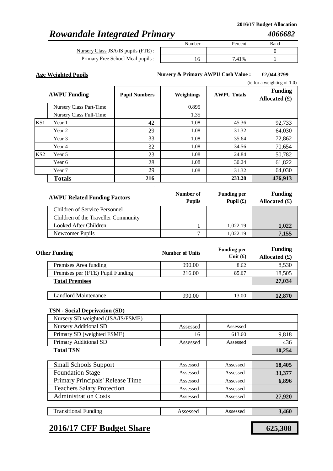# *Rowandale Integrated Primary*

Nursery Class JSA/IS pupils (FTE) : Primary Free School Meal pupil

|                 | Number | Percent | Band |
|-----------------|--------|---------|------|
| $\mathbf{E})$ : |        |         |      |
| ls :            | I 0    | 7.41%   |      |

**Age Weighted Pupils £2,044.3799 Nursery & Primary AWPU Cash Value :**

. . .

|                 | <b>AWPU Funding</b>     | <b>Pupil Numbers</b> | Weightings | <b>AWPU Totals</b> | <b>Funding</b><br>Allocated $(\pounds)$ |
|-----------------|-------------------------|----------------------|------------|--------------------|-----------------------------------------|
|                 | Nursery Class Part-Time |                      | 0.895      |                    |                                         |
|                 | Nursery Class Full-Time |                      | 1.35       |                    |                                         |
| KS1             | Year 1                  | 42                   | 1.08       | 45.36              | 92,733                                  |
|                 | Year 2                  | 29                   | 1.08       | 31.32              | 64,030                                  |
|                 | Year 3                  | 33                   | 1.08       | 35.64              | 72,862                                  |
|                 | Year 4                  | 32                   | 1.08       | 34.56              | 70,654                                  |
| KS <sub>2</sub> | Year 5                  | 23                   | 1.08       | 24.84              | 50,782                                  |
|                 | Year 6                  | 28                   | 1.08       | 30.24              | 61,822                                  |
|                 | Year 7                  | 29                   | 1.08       | 31.32              | 64,030                                  |
|                 | <b>Totals</b>           | 216                  |            | 233.28             | 476,913                                 |

| <b>AWPU Related Funding Factors</b> | Number of<br><b>Pupils</b> | <b>Funding per</b><br>Pupil $(\mathbf{f})$ | <b>Funding</b><br>Allocated $(\pounds)$ |
|-------------------------------------|----------------------------|--------------------------------------------|-----------------------------------------|
| Children of Service Personnel       |                            |                                            |                                         |
| Children of the Traveller Community |                            |                                            |                                         |
| Looked After Children               |                            | 1,022.19                                   | 1,022                                   |
| Newcomer Pupils                     | −                          | 1,022.19                                   | 7.155                                   |

| <b>Other Funding</b>             | <b>Number of Units</b> | <b>Funding per</b><br>Unit $(f)$ | <b>Funding</b><br>Allocated $(\pounds)$ |
|----------------------------------|------------------------|----------------------------------|-----------------------------------------|
| Premises Area funding            | 990.00                 | 8.62                             | 8,530                                   |
| Premises per (FTE) Pupil Funding | 216.00                 | 85.67                            | 18,505                                  |
| <b>Total Premises</b>            |                        |                                  | 27,034                                  |
|                                  |                        |                                  |                                         |
| Landlord Maintenance             | 990.00                 | 13.00                            | 12,870                                  |

### **TSN - Social Deprivation (SD)**

| Nursery SD weighted (JSA/IS/FSME) |          |          |        |
|-----------------------------------|----------|----------|--------|
| <b>Nursery Additional SD</b>      | Assessed | Assessed |        |
| Primary SD (weighted FSME)        | 16       | 613.60   | 9,818  |
| Primary Additional SD             | Assessed | Assessed | 436    |
| <b>Total TSN</b>                  |          |          | 10,254 |
|                                   |          |          |        |

| <b>Small Schools Support</b>      | Assessed | Assessed | 18,405 |
|-----------------------------------|----------|----------|--------|
| <b>Foundation Stage</b>           | Assessed | Assessed | 33,377 |
| Primary Principals' Release Time  | Assessed | Assessed | 6,896  |
| <b>Teachers Salary Protection</b> | Assessed | Assessed |        |
| <b>Administration Costs</b>       | Assessed | Assessed | 27,920 |
|                                   |          |          |        |

### Assessed **Assessed 3,460** Transitional Funding

### **2016/17 CFF Budget Share 625,308**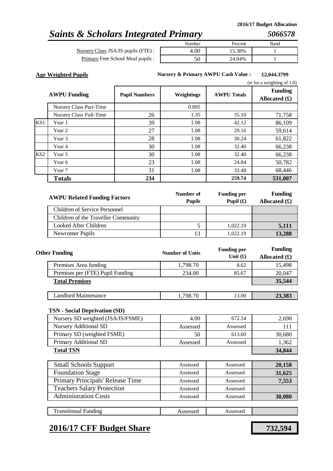### **2016/17 Budget Allocation**

### *Saints & Scholars Integrated Primary*

*5066578*

| Nursery Class JSA/IS pupils (FTE):      |  |
|-----------------------------------------|--|
| <b>Primary Free School Meal pupils:</b> |  |

|             | Number | Percent | Band |
|-------------|--------|---------|------|
| ils (FTE):  | .00.   | 15.38%  |      |
| al pupils : |        | 24.04%  |      |
|             |        |         |      |

**Age Weighted Pupils £2,044.3799 Nursery & Primary AWPU Cash Value :**

. . .

|                 |                         |                      |            |                    | (ie for a weighting of $1.0$ )    |
|-----------------|-------------------------|----------------------|------------|--------------------|-----------------------------------|
|                 | <b>AWPU Funding</b>     | <b>Pupil Numbers</b> | Weightings | <b>AWPU Totals</b> | <b>Funding</b><br>Allocated $(f)$ |
|                 | Nursery Class Part-Time |                      | 0.895      |                    |                                   |
|                 | Nursery Class Full-Time | 26                   | 1.35       | 35.10              | 71,758                            |
| KS1             | Year 1                  | 39                   | 1.08       | 42.12              | 86,109                            |
|                 | Year 2                  | 27                   | 1.08       | 29.16              | 59,614                            |
|                 | Year 3                  | 28                   | 1.08       | 30.24              | 61,822                            |
|                 | Year 4                  | 30                   | 1.08       | 32.40              | 66,238                            |
| KS <sub>2</sub> | Year 5                  | 30                   | 1.08       | 32.40              | 66,238                            |
|                 | Year 6                  | 23                   | 1.08       | 24.84              | 50,782                            |
|                 | Year 7                  | 31                   | 1.08       | 33.48              | 68,446                            |
|                 | <b>Totals</b>           | 234                  |            | 259.74             | 531,007                           |

| <b>AWPU Related Funding Factors</b> | Number of<br><b>Pupils</b> | <b>Funding per</b><br>Pupil $(\mathbf{f})$ | <b>Funding</b><br>Allocated $(\pounds)$ |
|-------------------------------------|----------------------------|--------------------------------------------|-----------------------------------------|
| Children of Service Personnel       |                            |                                            |                                         |
| Children of the Traveller Community |                            |                                            |                                         |
| Looked After Children               |                            | 1.022.19                                   | 5,111                                   |
| Newcomer Pupils                     |                            | 1.022.19                                   | 13,288                                  |

| <b>Other Funding</b>             | <b>Number of Units</b> | <b>Funding per</b><br>Unit $(f)$ | <b>Funding</b><br>Allocated $(f)$ |
|----------------------------------|------------------------|----------------------------------|-----------------------------------|
| Premises Area funding            | 1,798.70               | 8.62                             | 15,498                            |
| Premises per (FTE) Pupil Funding | 234.00                 | 85.67                            | 20,047                            |
| <b>Total Premises</b>            |                        |                                  | 35,544                            |
|                                  |                        |                                  |                                   |
| Landlord Maintenance             | 1,798.70               | 13.00                            | 23,383                            |

#### **TSN - Social Deprivation (SD)**

| Nursery SD weighted (JSA/IS/FSME) | 4.00     | 672.54   | 2,690  |
|-----------------------------------|----------|----------|--------|
| <b>Nursery Additional SD</b>      | Assessed | Assessed |        |
| Primary SD (weighted FSME)        | 50       | 613.60   | 30,680 |
| Primary Additional SD             | Assessed | Assessed | 1,362  |
| <b>Total TSN</b>                  |          |          | 34,844 |

| <b>Small Schools Support</b>      | Assessed | Assessed | 20,158 |
|-----------------------------------|----------|----------|--------|
| <b>Foundation Stage</b>           | Assessed | Assessed | 31,625 |
| Primary Principals' Release Time  | Assessed | Assessed | 7,553  |
| <b>Teachers Salary Protection</b> | Assessed | Assessed |        |
| <b>Administration Costs</b>       | Assessed | Assessed | 30,080 |
|                                   |          |          |        |
| <b>Transitional Funding</b>       | Assessed | Assessed |        |

### **2016/17 CFF Budget Share 732,594**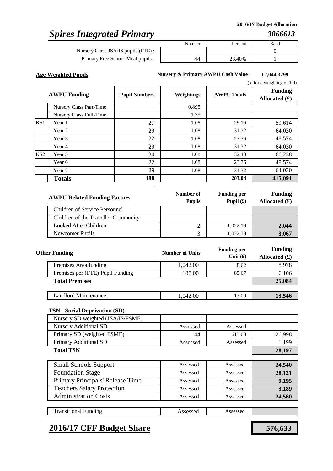# *Spires Integrated Primary*

Nursery Class JSA/IS pupils (FTE) : Primary Free School Meal pupils :

| Number | Percent | Band |
|--------|---------|------|
|        |         |      |
|        | 23.40%  |      |

**Age Weighted Pupils £2,044.3799 Nursery & Primary AWPU Cash Value :**

. . .

|                 |                         |                      |            |                    | (ie for a weighting of $1.0$ )    |
|-----------------|-------------------------|----------------------|------------|--------------------|-----------------------------------|
|                 | <b>AWPU Funding</b>     | <b>Pupil Numbers</b> | Weightings | <b>AWPU Totals</b> | <b>Funding</b><br>Allocated $(f)$ |
|                 | Nursery Class Part-Time |                      | 0.895      |                    |                                   |
|                 | Nursery Class Full-Time |                      | 1.35       |                    |                                   |
| KS <sub>1</sub> | Year 1                  | 27                   | 1.08       | 29.16              | 59,614                            |
|                 | Year 2                  | 29                   | 1.08       | 31.32              | 64,030                            |
|                 | Year 3                  | 22                   | 1.08       | 23.76              | 48,574                            |
|                 | Year 4                  | 29                   | 1.08       | 31.32              | 64,030                            |
| KS <sub>2</sub> | Year 5                  | 30                   | 1.08       | 32.40              | 66,238                            |
|                 | Year 6                  | 22                   | 1.08       | 23.76              | 48,574                            |
|                 | Year 7                  | 29                   | 1.08       | 31.32              | 64,030                            |
|                 | <b>Totals</b>           | 188                  |            | 203.04             | 415,091                           |

| <b>AWPU Related Funding Factors</b> | Number of<br><b>Pupils</b> | <b>Funding per</b><br>Pupil $(\mathbf{\hat{E}})$ | <b>Funding</b><br>Allocated $(\mathbf{\hat{f}})$ |
|-------------------------------------|----------------------------|--------------------------------------------------|--------------------------------------------------|
| Children of Service Personnel       |                            |                                                  |                                                  |
| Children of the Traveller Community |                            |                                                  |                                                  |
| Looked After Children               |                            | 1.022.19                                         | 2,044                                            |
| Newcomer Pupils                     |                            | 1.022.19                                         | 3,067                                            |

| <b>Other Funding</b>             | <b>Number of Units</b> | <b>Funding per</b><br>Unit $(f)$ | <b>Funding</b><br>Allocated $(f)$ |
|----------------------------------|------------------------|----------------------------------|-----------------------------------|
| Premises Area funding            | 1,042.00               | 8.62                             | 8,978                             |
| Premises per (FTE) Pupil Funding | 188.00                 | 85.67                            | 16,106                            |
| <b>Total Premises</b>            |                        |                                  | 25,084                            |
|                                  |                        |                                  |                                   |
| <b>Landlord Maintenance</b>      | 1,042.00               | 13.00                            | 13,546                            |

### **TSN - Social Deprivation (SD)**

Administration Costs

| Nursery SD weighted (JSA/IS/FSME) |          |          |        |
|-----------------------------------|----------|----------|--------|
| <b>Nursery Additional SD</b>      | Assessed | Assessed |        |
| Primary SD (weighted FSME)        | 44       | 613.60   | 26,998 |
| Primary Additional SD             | Assessed | Assessed | 1,199  |
| <b>Total TSN</b>                  |          |          | 28,197 |
|                                   |          |          |        |
| <b>Small Schools Support</b>      | Assessed | Assessed | 24,540 |
| <b>Foundation Stage</b>           | Assessed | Assessed | 28,121 |
| Primary Principals' Release Time  | Assessed | Assessed | 9,195  |
| <b>Teachers Salary Protection</b> | Assessed | Assessed | 3,189  |

| <b>Transitional Funding</b> |  |
|-----------------------------|--|
|                             |  |

# **2016/17 CFF Budget Share 576,633**

Assessed Assessed **24,560**

Assessed Assessed